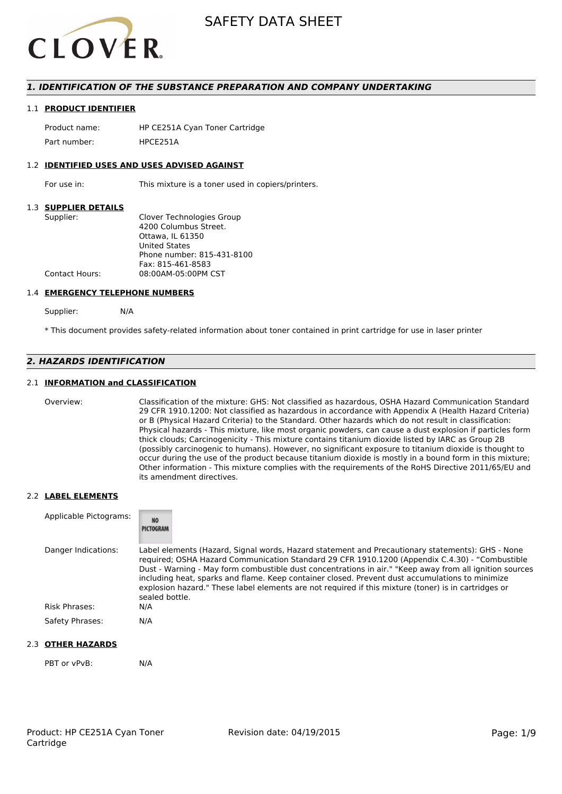

# *1. IDENTIFICATION OF THE SUBSTANCE PREPARATION AND COMPANY UNDERTAKING*

#### 1.1 **PRODUCT IDENTIFIER**

Product name: HP CE251A Cyan Toner Cartridge Part number: HPCE2514

#### 1.2 **IDENTIFIED USES AND USES ADVISED AGAINST**

For use in: This mixture is a toner used in copiers/printers.

#### 1.3 **SUPPLIER DETAILS**

| Supplier:             | Clover Technologies Group  |
|-----------------------|----------------------------|
|                       | 4200 Columbus Street.      |
|                       | Ottawa. IL 61350           |
|                       | <b>United States</b>       |
|                       | Phone number: 815-431-8100 |
|                       | Fax: 815-461-8583          |
| <b>Contact Hours:</b> | 08:00AM-05:00PM CST        |
|                       |                            |

#### 1.4 **EMERGENCY TELEPHONE NUMBERS**

Supplier: N/A

\* This document provides safety-related information about toner contained in print cartridge for use in laser printer

# *2. HAZARDS IDENTIFICATION*

### 2.1 **INFORMATION and CLASSIFICATION**

Overview: Classification of the mixture: GHS: Not classified as hazardous, OSHA Hazard Communication Standard 29 CFR 1910.1200: Not classified as hazardous in accordance with Appendix A (Health Hazard Criteria) or B (Physical Hazard Criteria) to the Standard. Other hazards which do not result in classification: Physical hazards - This mixture, like most organic powders, can cause a dust explosion if particles form thick clouds; Carcinogenicity - This mixture contains titanium dioxide listed by IARC as Group 2B (possibly carcinogenic to humans). However, no significant exposure to titanium dioxide is thought to occur during the use of the product because titanium dioxide is mostly in a bound form in this mixture; Other information - This mixture complies with the requirements of the RoHS Directive 2011/65/EU and its amendment directives.

#### 2.2 **LABEL ELEMENTS**

| Applicable Pictograms: | <b>NO</b><br>PICTOGRAM                                                                                                                                                                                                                                                                                                                                                                                                                                                                                                                     |
|------------------------|--------------------------------------------------------------------------------------------------------------------------------------------------------------------------------------------------------------------------------------------------------------------------------------------------------------------------------------------------------------------------------------------------------------------------------------------------------------------------------------------------------------------------------------------|
| Danger Indications:    | Label elements (Hazard, Signal words, Hazard statement and Precautionary statements): GHS - None<br>required; OSHA Hazard Communication Standard 29 CFR 1910.1200 (Appendix C.4.30) - "Combustible<br>Dust - Warning - May form combustible dust concentrations in air." "Keep away from all ignition sources<br>including heat, sparks and flame. Keep container closed. Prevent dust accumulations to minimize<br>explosion hazard." These label elements are not required if this mixture (toner) is in cartridges or<br>sealed bottle. |
| Risk Phrases:          | N/A                                                                                                                                                                                                                                                                                                                                                                                                                                                                                                                                        |
| Safety Phrases:        | N/A                                                                                                                                                                                                                                                                                                                                                                                                                                                                                                                                        |

### 2.3 **OTHER HAZARDS**

PBT or vPvB: N/A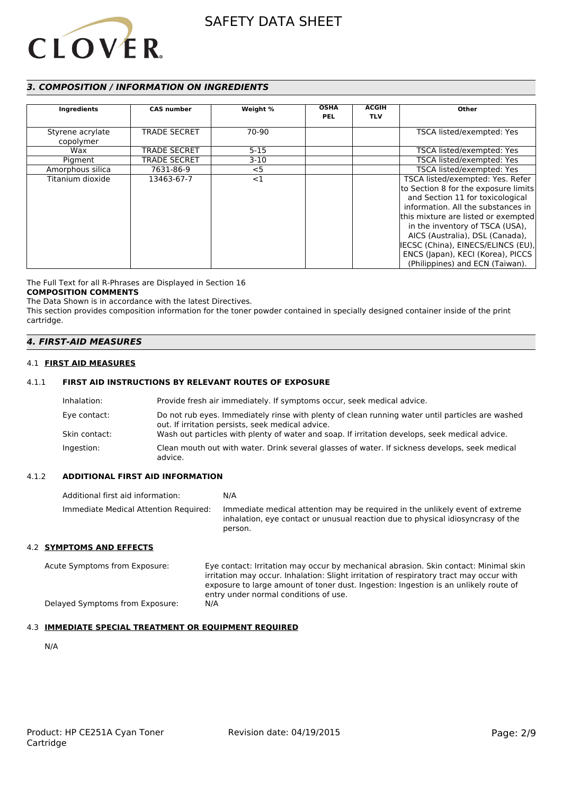

# *3. COMPOSITION / INFORMATION ON INGREDIENTS*

| Ingredients                   | <b>CAS number</b>   | Weight % | <b>OSHA</b><br><b>PEL</b> | <b>ACGIH</b><br><b>TLV</b> | Other                                                                                                                                                                                                                                                                                                                                                                         |
|-------------------------------|---------------------|----------|---------------------------|----------------------------|-------------------------------------------------------------------------------------------------------------------------------------------------------------------------------------------------------------------------------------------------------------------------------------------------------------------------------------------------------------------------------|
| Styrene acrylate<br>copolymer | <b>TRADE SECRET</b> | 70-90    |                           |                            | TSCA listed/exempted: Yes                                                                                                                                                                                                                                                                                                                                                     |
| Wax                           | <b>TRADE SECRET</b> | $5 - 15$ |                           |                            | TSCA listed/exempted: Yes                                                                                                                                                                                                                                                                                                                                                     |
| Pigment                       | <b>TRADE SECRET</b> | $3-10$   |                           |                            | TSCA listed/exempted: Yes                                                                                                                                                                                                                                                                                                                                                     |
| Amorphous silica              | 7631-86-9           | $<$ 5    |                           |                            | TSCA listed/exempted: Yes                                                                                                                                                                                                                                                                                                                                                     |
| Titanium dioxide              | 13463-67-7          | $<$ 1    |                           |                            | TSCA listed/exempted: Yes. Refer<br>to Section 8 for the exposure limits<br>and Section 11 for toxicological<br>information. All the substances in<br>this mixture are listed or exempted<br>in the inventory of TSCA (USA),<br>AICS (Australia), DSL (Canada),<br>IECSC (China), EINECS/ELINCS (EU),<br>ENCS (Japan), KECI (Korea), PICCS<br>(Philippines) and ECN (Taiwan). |

The Full Text for all R-Phrases are Displayed in Section 16

### **COMPOSITION COMMENTS**

The Data Shown is in accordance with the latest Directives. This section provides composition information for the toner powder contained in specially designed container inside of the print cartridge.

### *4. FIRST-AID MEASURES*

#### 4.1 **FIRST AID MEASURES**

# 4.1.1 **FIRST AID INSTRUCTIONS BY RELEVANT ROUTES OF EXPOSURE**

| Inhalation:   | Provide fresh air immediately. If symptoms occur, seek medical advice.                                                                                |
|---------------|-------------------------------------------------------------------------------------------------------------------------------------------------------|
| Eye contact:  | Do not rub eyes. Immediately rinse with plenty of clean running water until particles are washed<br>out. If irritation persists, seek medical advice. |
| Skin contact: | Wash out particles with plenty of water and soap. If irritation develops, seek medical advice.                                                        |
| Ingestion:    | Clean mouth out with water. Drink several glasses of water. If sickness develops, seek medical<br>advice.                                             |

#### 4.1.2 **ADDITIONAL FIRST AID INFORMATION**

| Additional first aid information:     | N/A                                                                                                                                                                        |
|---------------------------------------|----------------------------------------------------------------------------------------------------------------------------------------------------------------------------|
| Immediate Medical Attention Required: | Immediate medical attention may be required in the unlikely event of extreme<br>inhalation, eye contact or unusual reaction due to physical idiosyncrasy of the<br>person. |

#### 4.2 **SYMPTOMS AND EFFECTS**

Acute Symptoms from Exposure: Eye contact: Irritation may occur by mechanical abrasion. Skin contact: Minimal skin irritation may occur. Inhalation: Slight irritation of respiratory tract may occur with exposure to large amount of toner dust. Ingestion: Ingestion is an unlikely route of entry under normal conditions of use. Delayed Symptoms from Exposure: N/A

### 4.3 **IMMEDIATE SPECIAL TREATMENT OR EQUIPMENT REQUIRED**

N/A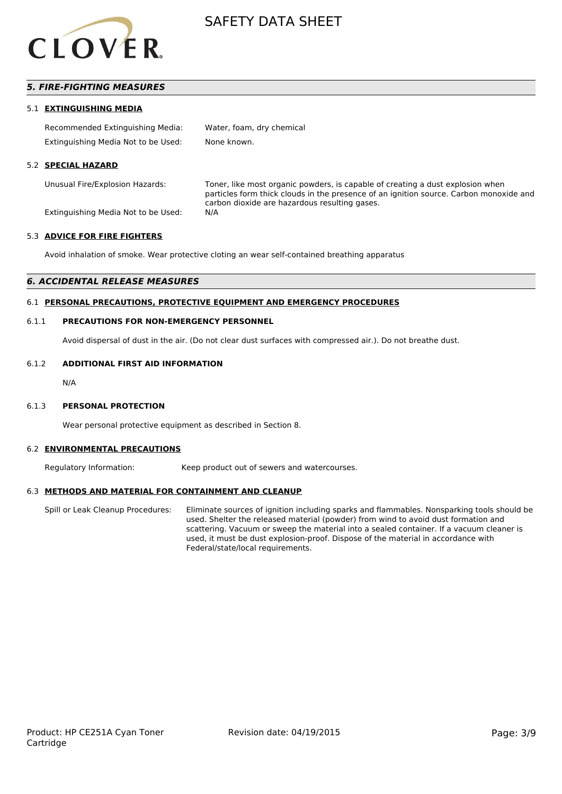

# *5. FIRE-FIGHTING MEASURES*

#### 5.1 **EXTINGUISHING MEDIA**

| Recommended Extinguishing Media:    | Water, foam, dry chemical |
|-------------------------------------|---------------------------|
| Extinguishing Media Not to be Used: | None known.               |

#### 5.2 **SPECIAL HAZARD**

Unusual Fire/Explosion Hazards: Toner, like most organic powders, is capable of creating a dust explosion when particles form thick clouds in the presence of an ignition source. Carbon monoxide and carbon dioxide are hazardous resulting gases.

Extinguishing Media Not to be Used: N/A

#### 5.3 **ADVICE FOR FIRE FIGHTERS**

Avoid inhalation of smoke. Wear protective cloting an wear self-contained breathing apparatus

#### *6. ACCIDENTAL RELEASE MEASURES*

#### 6.1 **PERSONAL PRECAUTIONS, PROTECTIVE EQUIPMENT AND EMERGENCY PROCEDURES**

#### 6.1.1 **PRECAUTIONS FOR NON-EMERGENCY PERSONNEL**

Avoid dispersal of dust in the air. (Do not clear dust surfaces with compressed air.). Do not breathe dust.

#### 6.1.2 **ADDITIONAL FIRST AID INFORMATION**

N/A

#### 6.1.3 **PERSONAL PROTECTION**

Wear personal protective equipment as described in Section 8.

#### 6.2 **ENVIRONMENTAL PRECAUTIONS**

Regulatory Information: Keep product out of sewers and watercourses.

#### 6.3 **METHODS AND MATERIAL FOR CONTAINMENT AND CLEANUP**

Spill or Leak Cleanup Procedures: Eliminate sources of ignition including sparks and flammables. Nonsparking tools should be used. Shelter the released material (powder) from wind to avoid dust formation and scattering. Vacuum or sweep the material into a sealed container. If a vacuum cleaner is used, it must be dust explosion-proof. Dispose of the material in accordance with Federal/state/local requirements.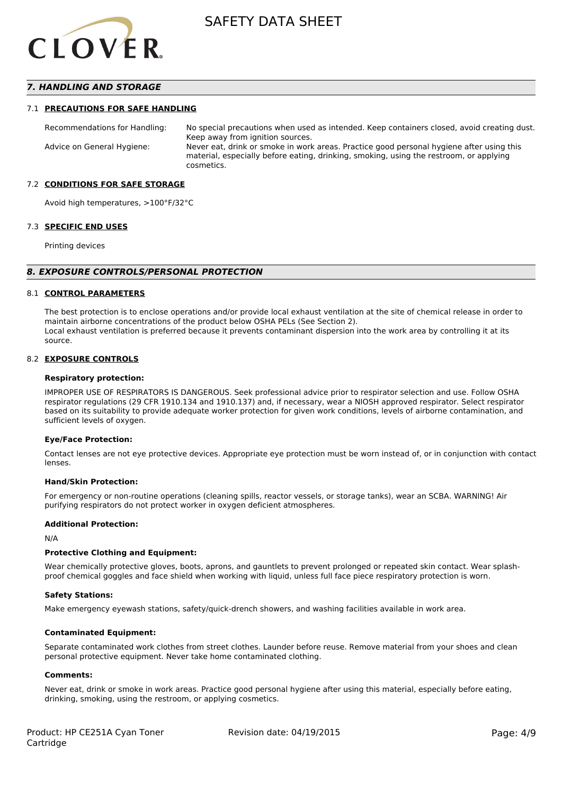

# *7. HANDLING AND STORAGE*

#### 7.1 **PRECAUTIONS FOR SAFE HANDLING**

Recommendations for Handling: No special precautions when used as intended. Keep containers closed, avoid creating dust. Keep away from ignition sources. Advice on General Hygiene: Never eat, drink or smoke in work areas. Practice good personal hygiene after using this material, especially before eating, drinking, smoking, using the restroom, or applying cosmetics.

#### 7.2 **CONDITIONS FOR SAFE STORAGE**

Avoid high temperatures, >100°F/32°C

#### 7.3 **SPECIFIC END USES**

Printing devices

#### *8. EXPOSURE CONTROLS/PERSONAL PROTECTION*

#### 8.1 **CONTROL PARAMETERS**

The best protection is to enclose operations and/or provide local exhaust ventilation at the site of chemical release in order to maintain airborne concentrations of the product below OSHA PELs (See Section 2). Local exhaust ventilation is preferred because it prevents contaminant dispersion into the work area by controlling it at its source.

#### 8.2 **EXPOSURE CONTROLS**

#### **Respiratory protection:**

IMPROPER USE OF RESPIRATORS IS DANGEROUS. Seek professional advice prior to respirator selection and use. Follow OSHA respirator regulations (29 CFR 1910.134 and 1910.137) and, if necessary, wear a NIOSH approved respirator. Select respirator based on its suitability to provide adequate worker protection for given work conditions, levels of airborne contamination, and sufficient levels of oxygen.

#### **Eye/Face Protection:**

Contact lenses are not eye protective devices. Appropriate eye protection must be worn instead of, or in conjunction with contact lenses.

#### **Hand/Skin Protection:**

For emergency or non-routine operations (cleaning spills, reactor vessels, or storage tanks), wear an SCBA. WARNING! Air purifying respirators do not protect worker in oxygen deficient atmospheres.

### **Additional Protection:**

N/A

#### **Protective Clothing and Equipment:**

Wear chemically protective gloves, boots, aprons, and gauntlets to prevent prolonged or repeated skin contact. Wear splashproof chemical goggles and face shield when working with liquid, unless full face piece respiratory protection is worn.

#### **Safety Stations:**

Make emergency eyewash stations, safety/quick-drench showers, and washing facilities available in work area.

#### **Contaminated Equipment:**

Separate contaminated work clothes from street clothes. Launder before reuse. Remove material from your shoes and clean personal protective equipment. Never take home contaminated clothing.

#### **Comments:**

Never eat, drink or smoke in work areas. Practice good personal hygiene after using this material, especially before eating, drinking, smoking, using the restroom, or applying cosmetics.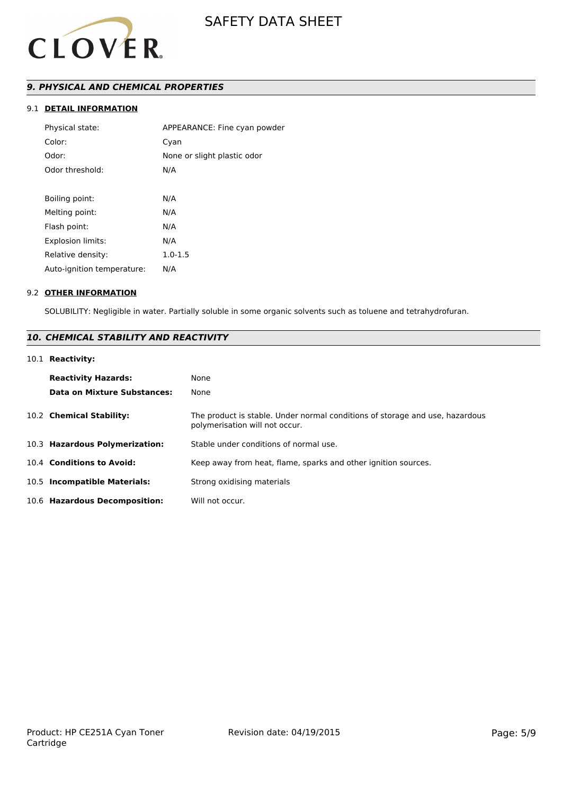

# *9. PHYSICAL AND CHEMICAL PROPERTIES*

# 9.1 **DETAIL INFORMATION**

| Physical state:            | APPEARANCE: Fine cyan powder |
|----------------------------|------------------------------|
| Color:                     | Cyan                         |
| Odor:                      | None or slight plastic odor  |
| Odor threshold:            | N/A                          |
|                            |                              |
| Boiling point:             | N/A                          |
| Melting point:             | N/A                          |
| Flash point:               | N/A                          |
| Explosion limits:          | N/A                          |
| Relative density:          | $1.0 - 1.5$                  |
| Auto-ignition temperature: | N/A                          |
|                            |                              |

#### 9.2 **OTHER INFORMATION**

SOLUBILITY: Negligible in water. Partially soluble in some organic solvents such as toluene and tetrahydrofuran.

# *10. CHEMICAL STABILITY AND REACTIVITY*

# 10.1 **Reactivity:**

| <b>Reactivity Hazards:</b><br><b>Data on Mixture Substances:</b> | None<br>None                                                                                                   |
|------------------------------------------------------------------|----------------------------------------------------------------------------------------------------------------|
| 10.2 Chemical Stability:                                         | The product is stable. Under normal conditions of storage and use, hazardous<br>polymerisation will not occur. |
| 10.3 Hazardous Polymerization:                                   | Stable under conditions of normal use.                                                                         |
| 10.4 Conditions to Avoid:                                        | Keep away from heat, flame, sparks and other ignition sources.                                                 |
| 10.5 Incompatible Materials:                                     | Strong oxidising materials                                                                                     |
| 10.6 Hazardous Decomposition:                                    | Will not occur.                                                                                                |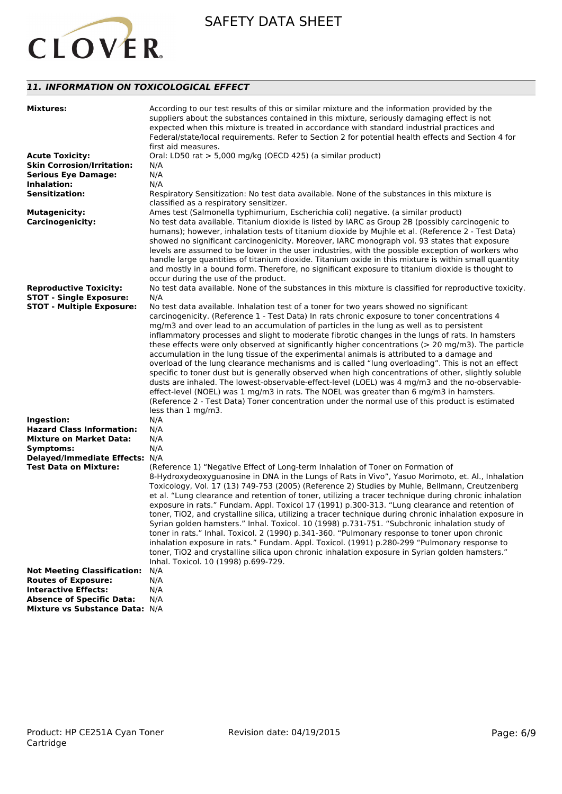

# *11. INFORMATION ON TOXICOLOGICAL EFFECT*

| <b>Mixtures:</b>                   | According to our test results of this or similar mixture and the information provided by the<br>suppliers about the substances contained in this mixture, seriously damaging effect is not<br>expected when this mixture is treated in accordance with standard industrial practices and<br>Federal/state/local requirements. Refer to Section 2 for potential health effects and Section 4 for<br>first aid measures.                                                                                                                                                                                                                                                                                                                                                                                                                                                                                                                                                                                                                                                                                                            |
|------------------------------------|-----------------------------------------------------------------------------------------------------------------------------------------------------------------------------------------------------------------------------------------------------------------------------------------------------------------------------------------------------------------------------------------------------------------------------------------------------------------------------------------------------------------------------------------------------------------------------------------------------------------------------------------------------------------------------------------------------------------------------------------------------------------------------------------------------------------------------------------------------------------------------------------------------------------------------------------------------------------------------------------------------------------------------------------------------------------------------------------------------------------------------------|
| <b>Acute Toxicity:</b>             | Oral: LD50 rat > 5,000 mg/kg (OECD 425) (a similar product)                                                                                                                                                                                                                                                                                                                                                                                                                                                                                                                                                                                                                                                                                                                                                                                                                                                                                                                                                                                                                                                                       |
| <b>Skin Corrosion/Irritation:</b>  | N/A                                                                                                                                                                                                                                                                                                                                                                                                                                                                                                                                                                                                                                                                                                                                                                                                                                                                                                                                                                                                                                                                                                                               |
| <b>Serious Eye Damage:</b>         | N/A                                                                                                                                                                                                                                                                                                                                                                                                                                                                                                                                                                                                                                                                                                                                                                                                                                                                                                                                                                                                                                                                                                                               |
| Inhalation:                        | N/A                                                                                                                                                                                                                                                                                                                                                                                                                                                                                                                                                                                                                                                                                                                                                                                                                                                                                                                                                                                                                                                                                                                               |
| <b>Sensitization:</b>              | Respiratory Sensitization: No test data available. None of the substances in this mixture is                                                                                                                                                                                                                                                                                                                                                                                                                                                                                                                                                                                                                                                                                                                                                                                                                                                                                                                                                                                                                                      |
|                                    | classified as a respiratory sensitizer.                                                                                                                                                                                                                                                                                                                                                                                                                                                                                                                                                                                                                                                                                                                                                                                                                                                                                                                                                                                                                                                                                           |
| <b>Mutagenicity:</b>               | Ames test (Salmonella typhimurium, Escherichia coli) negative. (a similar product)                                                                                                                                                                                                                                                                                                                                                                                                                                                                                                                                                                                                                                                                                                                                                                                                                                                                                                                                                                                                                                                |
| <b>Carcinogenicity:</b>            | No test data available. Titanium dioxide is listed by IARC as Group 2B (possibly carcinogenic to<br>humans); however, inhalation tests of titanium dioxide by Mujhle et al. (Reference 2 - Test Data)<br>showed no significant carcinogenicity. Moreover, IARC monograph vol. 93 states that exposure<br>levels are assumed to be lower in the user industries, with the possible exception of workers who<br>handle large quantities of titanium dioxide. Titanium oxide in this mixture is within small quantity<br>and mostly in a bound form. Therefore, no significant exposure to titanium dioxide is thought to<br>occur during the use of the product.                                                                                                                                                                                                                                                                                                                                                                                                                                                                    |
| <b>Reproductive Toxicity:</b>      | No test data available. None of the substances in this mixture is classified for reproductive toxicity.                                                                                                                                                                                                                                                                                                                                                                                                                                                                                                                                                                                                                                                                                                                                                                                                                                                                                                                                                                                                                           |
| <b>STOT - Single Exposure:</b>     | N/A                                                                                                                                                                                                                                                                                                                                                                                                                                                                                                                                                                                                                                                                                                                                                                                                                                                                                                                                                                                                                                                                                                                               |
|                                    |                                                                                                                                                                                                                                                                                                                                                                                                                                                                                                                                                                                                                                                                                                                                                                                                                                                                                                                                                                                                                                                                                                                                   |
| <b>STOT - Multiple Exposure:</b>   | No test data available. Inhalation test of a toner for two years showed no significant<br>carcinogenicity. (Reference 1 - Test Data) In rats chronic exposure to toner concentrations 4<br>mg/m3 and over lead to an accumulation of particles in the lung as well as to persistent<br>inflammatory processes and slight to moderate fibrotic changes in the lungs of rats. In hamsters<br>these effects were only observed at significantly higher concentrations ( $> 20$ mg/m3). The particle<br>accumulation in the lung tissue of the experimental animals is attributed to a damage and<br>overload of the lung clearance mechanisms and is called "lung overloading". This is not an effect<br>specific to toner dust but is generally observed when high concentrations of other, slightly soluble<br>dusts are inhaled. The lowest-observable-effect-level (LOEL) was 4 mg/m3 and the no-observable-<br>effect-level (NOEL) was 1 mg/m3 in rats. The NOEL was greater than 6 mg/m3 in hamsters.<br>(Reference 2 - Test Data) Toner concentration under the normal use of this product is estimated<br>less than 1 mg/m3. |
| Ingestion:                         | N/A                                                                                                                                                                                                                                                                                                                                                                                                                                                                                                                                                                                                                                                                                                                                                                                                                                                                                                                                                                                                                                                                                                                               |
| <b>Hazard Class Information:</b>   | N/A                                                                                                                                                                                                                                                                                                                                                                                                                                                                                                                                                                                                                                                                                                                                                                                                                                                                                                                                                                                                                                                                                                                               |
| <b>Mixture on Market Data:</b>     | N/A                                                                                                                                                                                                                                                                                                                                                                                                                                                                                                                                                                                                                                                                                                                                                                                                                                                                                                                                                                                                                                                                                                                               |
| Symptoms:                          | N/A                                                                                                                                                                                                                                                                                                                                                                                                                                                                                                                                                                                                                                                                                                                                                                                                                                                                                                                                                                                                                                                                                                                               |
| Delayed/Immediate Effects: N/A     |                                                                                                                                                                                                                                                                                                                                                                                                                                                                                                                                                                                                                                                                                                                                                                                                                                                                                                                                                                                                                                                                                                                                   |
| <b>Test Data on Mixture:</b>       | (Reference 1) "Negative Effect of Long-term Inhalation of Toner on Formation of<br>8-Hydroxydeoxyguanosine in DNA in the Lungs of Rats in Vivo", Yasuo Morimoto, et. Al., Inhalation<br>Toxicology, Vol. 17 (13) 749-753 (2005) (Reference 2) Studies by Muhle, Bellmann, Creutzenberg<br>et al. "Lung clearance and retention of toner, utilizing a tracer technique during chronic inhalation<br>exposure in rats." Fundam. Appl. Toxicol 17 (1991) p.300-313. "Lung clearance and retention of<br>toner, TiO2, and crystalline silica, utilizing a tracer technique during chronic inhalation exposure in<br>Syrian golden hamsters." Inhal. Toxicol. 10 (1998) p.731-751. "Subchronic inhalation study of<br>toner in rats." Inhal. Toxicol. 2 (1990) p.341-360. "Pulmonary response to toner upon chronic<br>inhalation exposure in rats." Fundam. Appl. Toxicol. (1991) p.280-299 "Pulmonary response to<br>toner, TiO2 and crystalline silica upon chronic inhalation exposure in Syrian golden hamsters."<br>Inhal. Toxicol. 10 (1998) p.699-729.                                                                         |
| <b>Not Meeting Classification:</b> | N/A                                                                                                                                                                                                                                                                                                                                                                                                                                                                                                                                                                                                                                                                                                                                                                                                                                                                                                                                                                                                                                                                                                                               |
| <b>Routes of Exposure:</b>         | N/A                                                                                                                                                                                                                                                                                                                                                                                                                                                                                                                                                                                                                                                                                                                                                                                                                                                                                                                                                                                                                                                                                                                               |
| <b>Interactive Effects:</b>        | N/A                                                                                                                                                                                                                                                                                                                                                                                                                                                                                                                                                                                                                                                                                                                                                                                                                                                                                                                                                                                                                                                                                                                               |
| <b>Absence of Specific Data:</b>   | N/A                                                                                                                                                                                                                                                                                                                                                                                                                                                                                                                                                                                                                                                                                                                                                                                                                                                                                                                                                                                                                                                                                                                               |
| Mixture vs Substance Data: N/A     |                                                                                                                                                                                                                                                                                                                                                                                                                                                                                                                                                                                                                                                                                                                                                                                                                                                                                                                                                                                                                                                                                                                                   |
|                                    |                                                                                                                                                                                                                                                                                                                                                                                                                                                                                                                                                                                                                                                                                                                                                                                                                                                                                                                                                                                                                                                                                                                                   |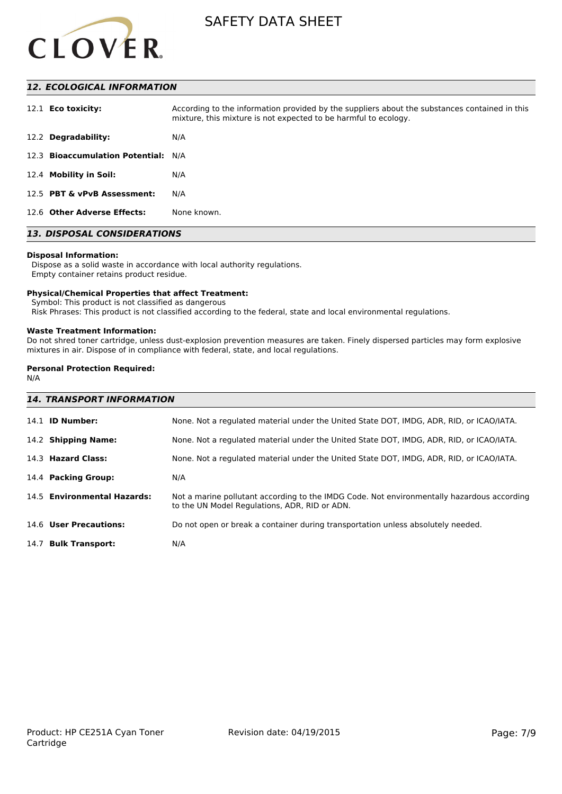

# *12. ECOLOGICAL INFORMATION*

| 12.1 <b>Eco toxicity:</b>           | According to the information provided by the suppliers about the substances contained in this<br>mixture, this mixture is not expected to be harmful to ecology. |
|-------------------------------------|------------------------------------------------------------------------------------------------------------------------------------------------------------------|
| 12.2 Degradability:                 | N/A                                                                                                                                                              |
| 12.3 Bioaccumulation Potential: N/A |                                                                                                                                                                  |
| 12.4 Mobility in Soil:              | N/A                                                                                                                                                              |
| 12.5 PBT & vPvB Assessment:         | N/A                                                                                                                                                              |
| 12.6 Other Adverse Effects:         | None known.                                                                                                                                                      |

# *13. DISPOSAL CONSIDERATIONS*

#### **Disposal Information:**

 Dispose as a solid waste in accordance with local authority regulations. Empty container retains product residue.

#### **Physical/Chemical Properties that affect Treatment:**

Symbol: This product is not classified as dangerous

Risk Phrases: This product is not classified according to the federal, state and local environmental regulations.

#### **Waste Treatment Information:**

Do not shred toner cartridge, unless dust-explosion prevention measures are taken. Finely dispersed particles may form explosive mixtures in air. Dispose of in compliance with federal, state, and local regulations.

# **Personal Protection Required:**

N/A

| <b>14. TRANSPORT INFORMATION</b> |                                                                                                                                             |  |
|----------------------------------|---------------------------------------------------------------------------------------------------------------------------------------------|--|
| 14.1 <b>ID Number:</b>           | None. Not a regulated material under the United State DOT, IMDG, ADR, RID, or ICAO/IATA.                                                    |  |
| 14.2 Shipping Name:              | None. Not a regulated material under the United State DOT, IMDG, ADR, RID, or ICAO/IATA.                                                    |  |
| 14.3 Hazard Class:               | None. Not a regulated material under the United State DOT, IMDG, ADR, RID, or ICAO/IATA.                                                    |  |
| 14.4 Packing Group:              | N/A                                                                                                                                         |  |
| 14.5 Environmental Hazards:      | Not a marine pollutant according to the IMDG Code. Not environmentally hazardous according<br>to the UN Model Regulations, ADR, RID or ADN. |  |
| 14.6 User Precautions:           | Do not open or break a container during transportation unless absolutely needed.                                                            |  |
| 14.7 Bulk Transport:             | N/A                                                                                                                                         |  |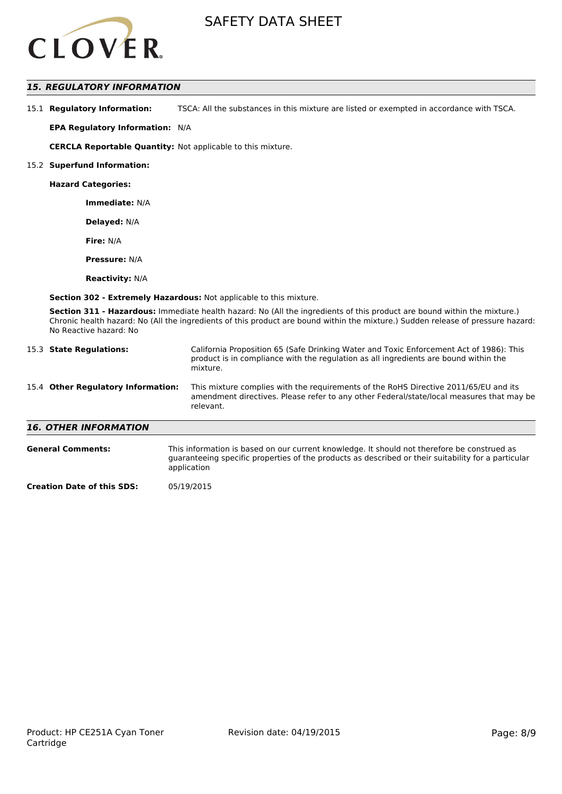

# *15. REGULATORY INFORMATION*

15.1 **Regulatory Information:** TSCA: All the substances in this mixture are listed or exempted in accordance with TSCA.

**EPA Regulatory Information:** N/A

**CERCLA Reportable Quantity:** Not applicable to this mixture.

#### 15.2 **Superfund Information:**

**Hazard Categories:**

**Immediate:** N/A

**Delayed:** N/A

**Fire:** N/A

**Pressure:** N/A

**Reactivity:** N/A

**Section 302 - Extremely Hazardous:** Not applicable to this mixture.

**Section 311 - Hazardous:** Immediate health hazard: No (All the ingredients of this product are bound within the mixture.) Chronic health hazard: No (All the ingredients of this product are bound within the mixture.) Sudden release of pressure hazard: No Reactive hazard: No

| 15.3 State Regulations:            | California Proposition 65 (Safe Drinking Water and Toxic Enforcement Act of 1986): This<br>product is in compliance with the regulation as all ingredients are bound within the<br>mixture.   |  |  |
|------------------------------------|-----------------------------------------------------------------------------------------------------------------------------------------------------------------------------------------------|--|--|
| 15.4 Other Regulatory Information: | This mixture complies with the requirements of the RoHS Directive 2011/65/EU and its<br>amendment directives. Please refer to any other Federal/state/local measures that may be<br>relevant. |  |  |
| <b>16. OTHER INFORMATION</b>       |                                                                                                                                                                                               |  |  |
| <b>General Comments:</b>           | This information is based on our current knowledge. It should not therefore be construed as                                                                                                   |  |  |

| guaranteeing specific properties of the products as described or their suitability for a particular<br>application |
|--------------------------------------------------------------------------------------------------------------------|
|                                                                                                                    |

**Creation Date of this SDS:** 05/19/2015